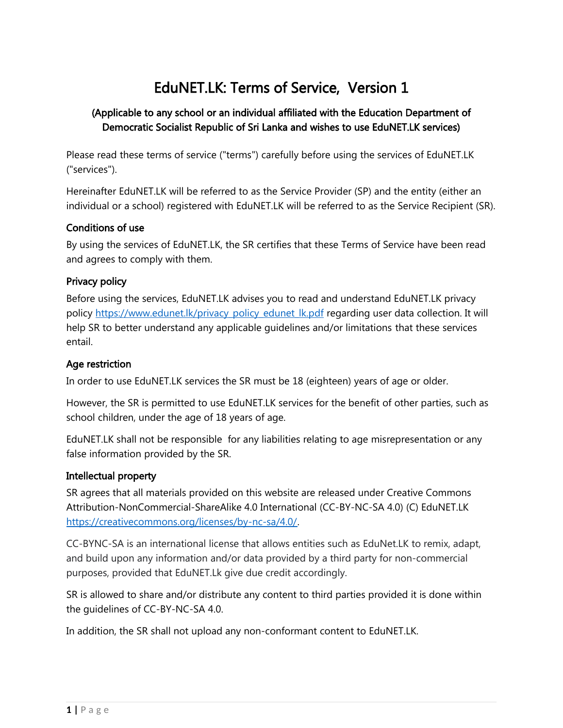# EduNET.LK: Terms of Service, Version 1

# (Applicable to any school or an individual affiliated with the Education Department of Democratic Socialist Republic of Sri Lanka and wishes to use EduNET.LK services)

Please read these terms of service ("terms") carefully before using the services of EduNET.LK ("services").

Hereinafter EduNET.LK will be referred to as the Service Provider (SP) and the entity (either an individual or a school) registered with EduNET.LK will be referred to as the Service Recipient (SR).

## Conditions of use

By using the services of EduNET.LK, the SR certifies that these Terms of Service have been read and agrees to comply with them.

## Privacy policy

Before using the services, EduNET.LK advises you to read and understand EduNET.LK privacy policy [https://www.edunet.lk/privacy\\_policy\\_edunet\\_lk.pdf](https://www.edunet.lk/privacy_policy.pdf) regarding user data collection. It will help SR to better understand any applicable guidelines and/or limitations that these services entail.

#### Age restriction

In order to use EduNET.LK services the SR must be 18 (eighteen) years of age or older.

However, the SR is permitted to use EduNET.LK services for the benefit of other parties, such as school children, under the age of 18 years of age.

EduNET.LK shall not be responsible for any liabilities relating to age misrepresentation or any false information provided by the SR.

#### Intellectual property

SR agrees that all materials provided on this website are released under Creative Commons Attribution-NonCommercial-ShareAlike 4.0 International (CC-BY-NC-SA 4.0) (C) EduNET.LK <https://creativecommons.org/licenses/by-nc-sa/4.0/>.

CC-BYNC-SA is an international license that allows entities such as EduNet.LK to remix, adapt, and build upon any information and/or data provided by a third party for non-commercial purposes, provided that EduNET.Lk give due credit accordingly.

SR is allowed to share and/or distribute any content to third parties provided it is done within the guidelines of CC-BY-NC-SA 4.0.

In addition, the SR shall not upload any non-conformant content to EduNET.LK.